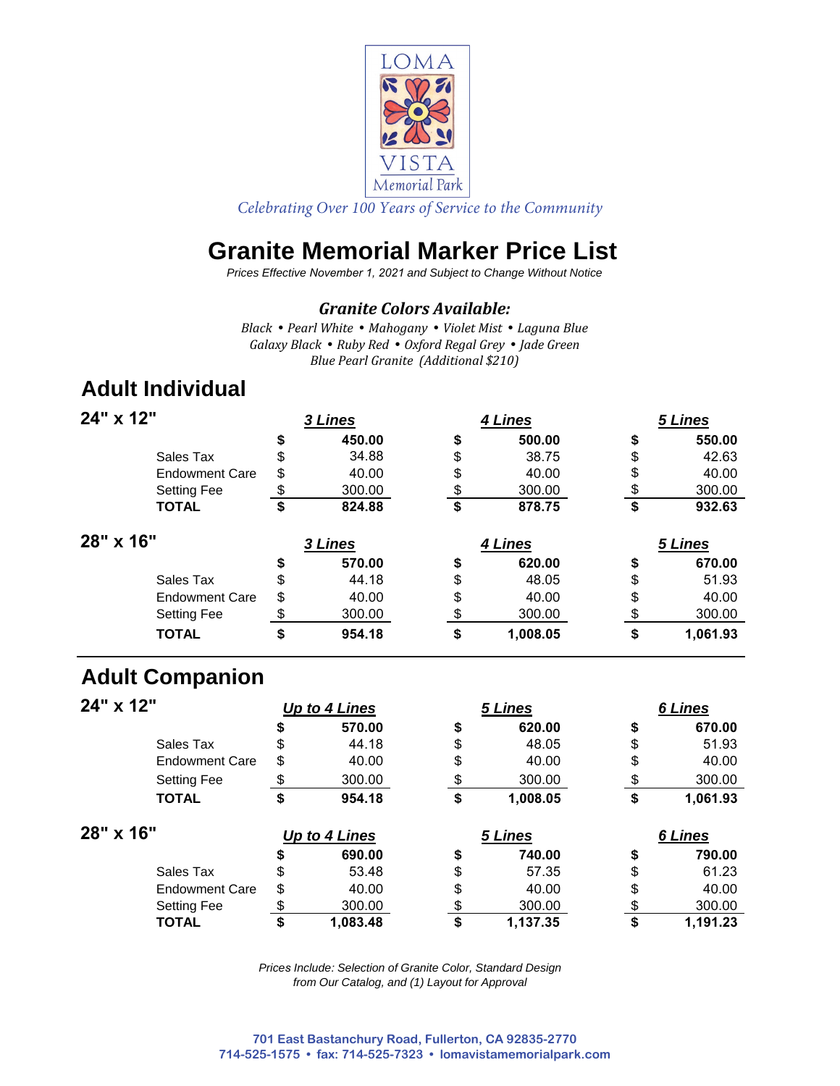

*Celebrating Over 100 Years of Service to the Community*

# **Granite Memorial Marker Price List**

*Prices Effective November 1, 2021 and Subject to Change Without Notice*

#### *Granite Colors Available:*

*Black Pearl White Mahogany Violet Mist Laguna Blue Galaxy Black Ruby Red Oxford Regal Grey Jade Green Blue Pearl Granite (Additional \$210)* 

### **Adult Individual**

| 24" x 12"             |    | 3 Lines |               | 4 Lines |    | 5 Lines |  |
|-----------------------|----|---------|---------------|---------|----|---------|--|
|                       | \$ | 450.00  | \$            | 500.00  | \$ | 550.00  |  |
| Sales Tax             | \$ | 34.88   | \$            | 38.75   | \$ | 42.63   |  |
| <b>Endowment Care</b> | \$ | 40.00   | \$            | 40.00   | \$ | 40.00   |  |
| <b>Setting Fee</b>    | \$ | 300.00  | $\frac{1}{2}$ | 300.00  | \$ | 300.00  |  |
| <b>TOTAL</b>          | \$ | 824.88  | \$            | 878.75  | \$ | 932.63  |  |
| 28" x 16"             |    | 3 Lines |               | 4 Lines |    | 5 Lines |  |
|                       |    |         |               |         |    |         |  |
|                       | S  | 570.00  | \$            | 620.00  | \$ | 670.00  |  |
| Sales Tax             | \$ | 44.18   | \$            | 48.05   | \$ | 51.93   |  |
| <b>Endowment Care</b> | \$ | 40.00   | \$            | 40.00   | \$ | 40.00   |  |
| <b>Setting Fee</b>    | S  | 300.00  | \$            | 300.00  | \$ | 300.00  |  |

### **Adult Companion**

| 24" x 12" |                       | Up to 4 Lines |          | 5 Lines        |    | 6 Lines  |  |
|-----------|-----------------------|---------------|----------|----------------|----|----------|--|
|           |                       | \$            | 570.00   | \$<br>620.00   | \$ | 670.00   |  |
|           | Sales Tax             | \$            | 44.18    | \$<br>48.05    | \$ | 51.93    |  |
|           | <b>Endowment Care</b> | \$            | 40.00    | \$<br>40.00    | \$ | 40.00    |  |
|           | <b>Setting Fee</b>    | S             | 300.00   | \$<br>300.00   | \$ | 300.00   |  |
|           | <b>TOTAL</b>          | \$            | 954.18   | \$<br>1,008.05 | \$ | 1,061.93 |  |
| 28" x 16" |                       | Up to 4 Lines |          | 5 Lines        |    | 6 Lines  |  |
|           |                       | S             | 690.00   | \$<br>740.00   | \$ | 790.00   |  |
|           | Sales Tax             | \$            | 53.48    | \$<br>57.35    | \$ | 61.23    |  |
|           | <b>Endowment Care</b> | \$            | 40.00    | \$<br>40.00    | \$ | 40.00    |  |
|           | <b>Setting Fee</b>    |               | 300.00   | \$<br>300.00   | \$ | 300.00   |  |
|           | <b>TOTAL</b>          | \$            | 1,083.48 | \$<br>1,137.35 | \$ | 1,191.23 |  |

*Prices Include: Selection of Granite Color, Standard Design from Our Catalog, and (1) Layout for Approval*